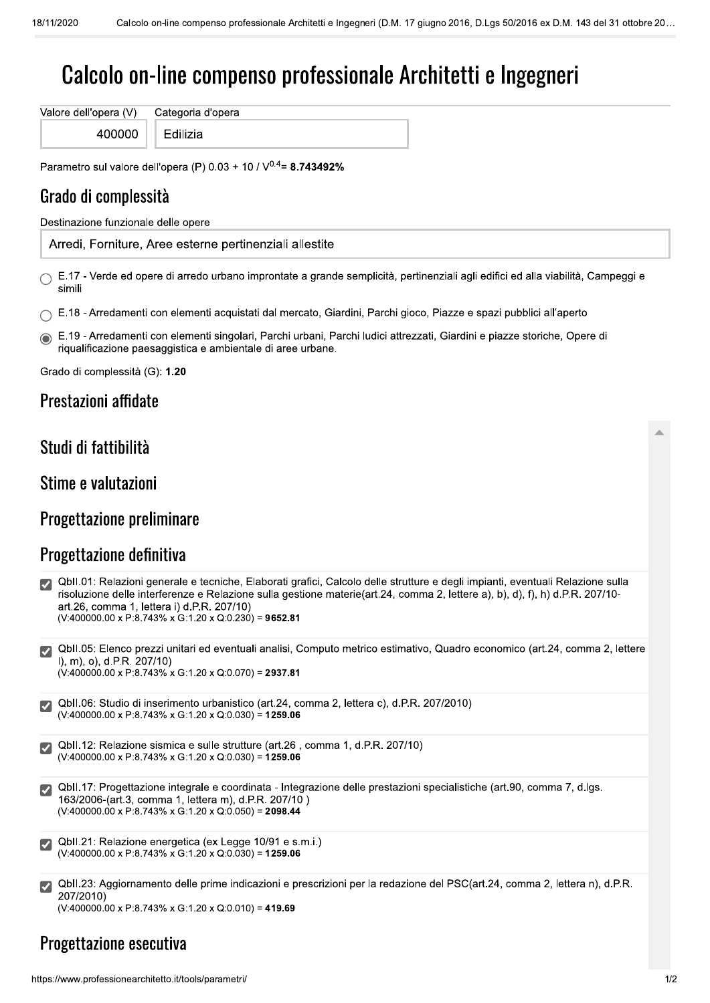# Calcolo on-line compenso professionale Architetti e Ingegneri

Valore dell'opera (V) Categoria d'opera 400000

Edilizia

Parametro sul valore dell'opera (P) 0.03 + 10 /  $V^{0.4}$  = 8.743492%

# Grado di complessità

Destinazione funzionale delle opere

Arredi, Forniture, Aree esterne pertinenziali allestite

 $\bigcirc$  E.17 - Verde ed opere di arredo urbano improntate a grande semplicità, pertinenziali agli edifici ed alla viabilità, Campeggi e simili

- E.18 Arredamenti con elementi acquistati dal mercato, Giardini, Parchi gioco, Piazze e spazi pubblici all'aperto
- E.19 Arredamenti con elementi singolari, Parchi urbani, Parchi ludici attrezzati, Giardini e piazze storiche, Opere di riqualificazione paesaggistica e ambientale di aree urbane.

Grado di complessità (G): 1.20

## Prestazioni affidate

#### Studi di fattibilità

#### Stime e valutazioni

#### Progettazione preliminare

#### Progettazione definitiva

| ■ QbII.01: Relazioni generale e tecniche, Elaborati grafici, Calcolo delle strutture e degli impianti, eventuali Relazione sulla |
|----------------------------------------------------------------------------------------------------------------------------------|
| risoluzione delle interferenze e Relazione sulla gestione materie(art.24, comma 2, lettere a), b), d), f), h) d.P.R. 207/10-     |
| art.26, comma 1, lettera i) d.P.R. 207/10)                                                                                       |
| $(V:400000.00 \times P:8.743\% \times G:1.20 \times Q:0.230) = 9652.81$                                                          |

QbII.05: Elenco prezzi unitari ed eventuali analisi. Computo metrico estimativo. Quadro economico (art.24, comma 2, lettere I), m), o), d.P.R. 207/10)  $(V:400000.00 \times P:8.743\% \times G:1.20 \times Q:0.070) = 2937.81$ 

QbII.06: Studio di inserimento urbanistico (art.24, comma 2, lettera c), d.P.R. 207/2010)  $(V:400000.00 \times P:8.743\% \times G:1.20 \times Q:0.030) = 1259.06$ 

QbII.12: Relazione sismica e sulle strutture (art.26, comma 1, d.P.R. 207/10)  $(V:400000.00 \times P:8.743\% \times G:1.20 \times Q:0.030) = 1259.06$ 

QbII.17: Progettazione integrale e coordinata - Integrazione delle prestazioni specialistiche (art.90, comma 7, d.lgs. 163/2006-(art.3, comma 1, lettera m), d.P.R. 207/10)  $(V:400000.00 \times P:8.743\% \times G:1.20 \times Q:0.050) = 2098.44$ 

- Qbll.21: Relazione energetica (ex Legge 10/91 e s.m.i.)  $(V:400000.00 \times P:8.743\% \times G:1.20 \times Q:0.030) = 1259.06$
- Qbll.23: Aggiornamento delle prime indicazioni e prescrizioni per la redazione del PSC(art.24, comma 2, lettera n), d.P.R. 207/2010)

 $(V:400000.00 \times P:8.743\% \times G:1.20 \times Q:0.010) = 419.69$ 

# Progettazione esecutiva